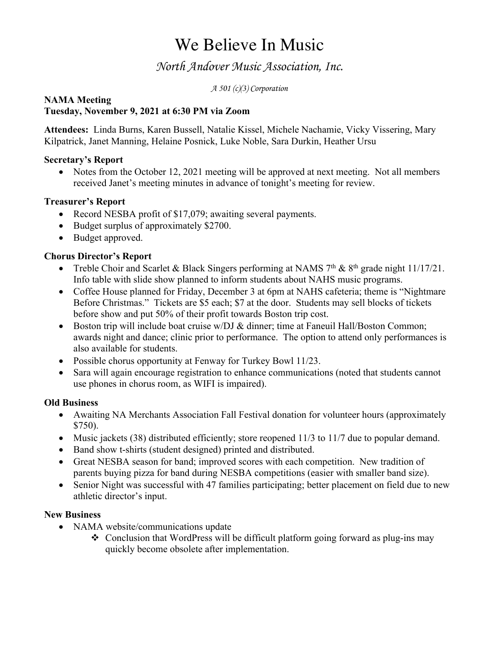# We Believe In Music

### *North Andover Music Association, Inc.*

*A 501 (c)(3) Corporation*

#### **NAMA Meeting Tuesday, November 9, 2021 at 6:30 PM via Zoom**

**Attendees:** Linda Burns, Karen Bussell, Natalie Kissel, Michele Nachamie, Vicky Vissering, Mary Kilpatrick, Janet Manning, Helaine Posnick, Luke Noble, Sara Durkin, Heather Ursu

### **Secretary's Report**

• Notes from the October 12, 2021 meeting will be approved at next meeting. Not all members received Janet's meeting minutes in advance of tonight's meeting for review.

### **Treasurer's Report**

- Record NESBA profit of \$17,079; awaiting several payments.
- Budget surplus of approximately \$2700.
- Budget approved.

### **Chorus Director's Report**

- Treble Choir and Scarlet & Black Singers performing at NAMS  $7<sup>th</sup>$  &  $8<sup>th</sup>$  grade night 11/17/21. Info table with slide show planned to inform students about NAHS music programs.
- Coffee House planned for Friday, December 3 at 6pm at NAHS cafeteria; theme is "Nightmare" Before Christmas." Tickets are \$5 each; \$7 at the door. Students may sell blocks of tickets before show and put 50% of their profit towards Boston trip cost.
- Boston trip will include boat cruise w/DJ & dinner; time at Faneuil Hall/Boston Common; awards night and dance; clinic prior to performance. The option to attend only performances is also available for students.
- Possible chorus opportunity at Fenway for Turkey Bowl 11/23.
- Sara will again encourage registration to enhance communications (noted that students cannot use phones in chorus room, as WIFI is impaired).

#### **Old Business**

- Awaiting NA Merchants Association Fall Festival donation for volunteer hours (approximately \$750).
- Music jackets (38) distributed efficiently; store reopened 11/3 to 11/7 due to popular demand.
- Band show t-shirts (student designed) printed and distributed.
- Great NESBA season for band; improved scores with each competition. New tradition of parents buying pizza for band during NESBA competitions (easier with smaller band size).
- Senior Night was successful with 47 families participating; better placement on field due to new athletic director's input.

#### **New Business**

- NAMA website/communications update
	- $\triangleleft$  Conclusion that WordPress will be difficult platform going forward as plug-ins may quickly become obsolete after implementation.